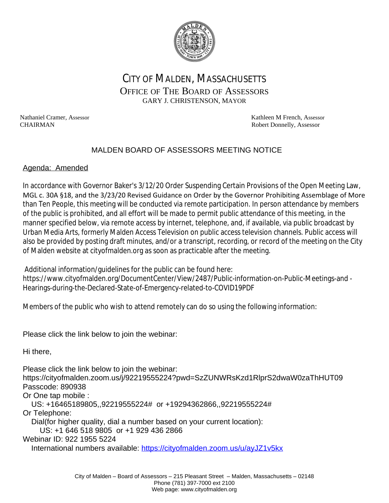

# CITY OF MALDEN, MASSACHUSETTS OFFICE OF THE BOARD OF ASSESSORS GARY J. CHRISTENSON, MAYOR

Nathaniel Cramer, Assessor **Kathleen M French, Assessor** Kathleen M French, Assessor CHAIRMAN Robert Donnelly, Assessor

## MALDEN BOARD OF ASSESSORS MEETING NOTICE

#### Agenda: Amended

In accordance with Governor Baker's 3/12/20 Order Suspending Certain Provisions of the Open Meeting Law, MGL c. 30A §18, and the 3/23/20 Revised Guidance on Order by the Governor Prohibiting Assemblage of More than Ten People, this meeting will be conducted via remote participation. In person attendance by members of the public is prohibited, and all effort will be made to permit public attendance of this meeting, in the manner specified below, via remote access by internet, telephone, and, if available, via public broadcast by Urban Media Arts, formerly Malden Access Television on public access television channels. Public access will also be provided by posting draft minutes, and/or a transcript, recording, or record of the meeting on the City of Malden website at cityofmalden.org as soon as practicable after the meeting.

 Additional information/guidelines for the public can be found here: https://www.cityofmalden.org/DocumentCenter/View/2487/Public-information-on-Public-Meetings-and - Hearings-during-the-Declared-State-of-Emergency-related-to-COVID19PDF

Members of the public who wish to attend remotely can do so using the following information:

Please click the link below to join the webinar:

Hi there,

Please click the link below to join the webinar: https://cityofmalden.zoom.us/j/92219555224?pwd=SzZUNWRsKzd1RlprS2dwaW0zaThHUT09 Passcode: 890938

Or One tap mobile :

US: +16465189805,,92219555224# or +19294362866,,92219555224#

Or Telephone:

Dial(for higher quality, dial a number based on your current location):

US: +1 646 518 9805 or +1 929 436 2866

Webinar ID: 922 1955 5224

International numbers available: <https://cityofmalden.zoom.us/u/ayJZ1v5kx>